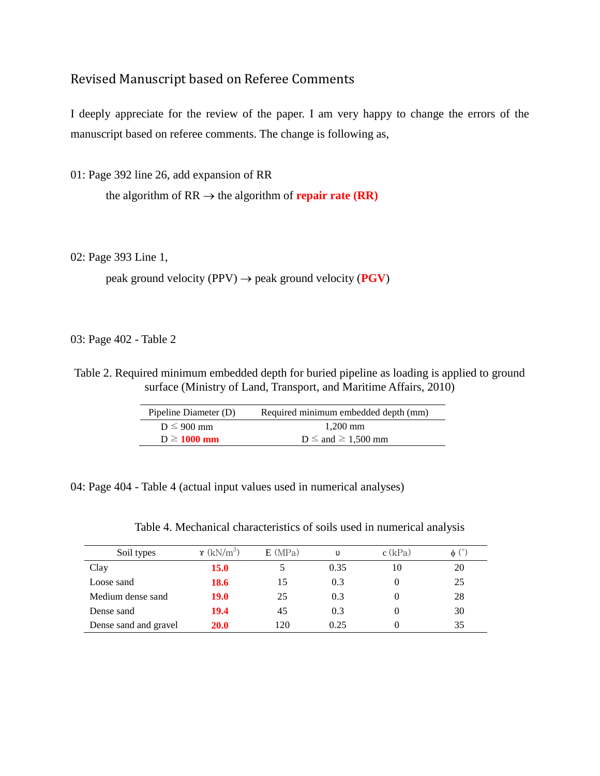## Revised Manuscript based on Referee Comments

I deeply appreciate for the review of the paper. I am very happy to change the errors of the manuscript based on referee comments. The change is following as,

01: Page 392 line 26, add expansion of RR

the algorithm of  $RR \rightarrow$  the algorithm of **repair rate (RR)** 

02: Page 393 Line 1,

peak ground velocity  $(PPV) \rightarrow$  peak ground velocity  $(PGV)$ 

03: Page 402 - Table 2

Table 2. Required minimum embedded depth for buried pipeline as loading is applied to ground surface (Ministry of Land, Transport, and Maritime Affairs, 2010)

| Pipeline Diameter (D) | Required minimum embedded depth (mm) |
|-----------------------|--------------------------------------|
| $D \leq 900$ mm       | $1,200$ mm                           |
| $D \ge 1000$ mm       | $D \leq$ and $\geq 1,500$ mm         |

04: Page 404 - Table 4 (actual input values used in numerical analyses)

| Table 4. Mechanical characteristics of soils used in numerical analysis |  |  |  |  |  |
|-------------------------------------------------------------------------|--|--|--|--|--|
|-------------------------------------------------------------------------|--|--|--|--|--|

| Soil types            | $\mathbf{\hat{x}}$ (kN/m <sup>3</sup> ) | E(MPa) | υ    | $c$ (kPa) | $\phi$ (°) |
|-----------------------|-----------------------------------------|--------|------|-----------|------------|
| Clay                  | <b>15.0</b>                             |        | 0.35 | 10        | 20         |
| Loose sand            | 18.6                                    | 15     | 0.3  |           | 25         |
| Medium dense sand     | <b>19.0</b>                             | 25     | 0.3  |           | 28         |
| Dense sand            | 19.4                                    | 45     | 0.3  |           | 30         |
| Dense sand and gravel | <b>20.0</b>                             | 120    | 0.25 |           | 35         |